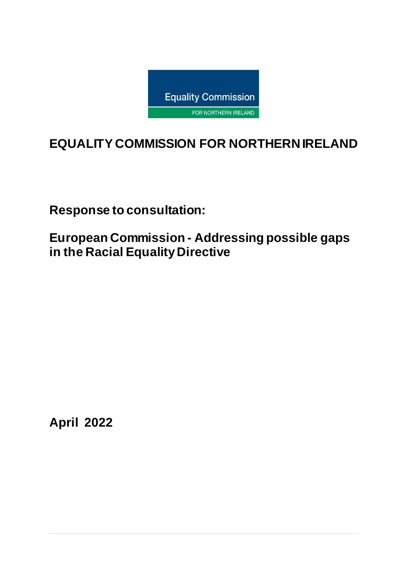

# **EQUALITY COMMISSION FOR NORTHERN IRELAND**

**Response to consultation:**

**European Commission - Addressing possible gaps in the Racial Equality Directive**

**April 2022**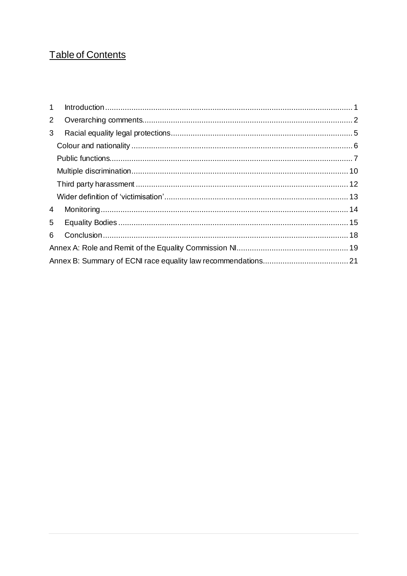### Table of Contents

| 1            |  |  |  |
|--------------|--|--|--|
| $\mathbf{2}$ |  |  |  |
| 3            |  |  |  |
|              |  |  |  |
|              |  |  |  |
|              |  |  |  |
|              |  |  |  |
|              |  |  |  |
| 4            |  |  |  |
| 5            |  |  |  |
| 6            |  |  |  |
|              |  |  |  |
|              |  |  |  |
|              |  |  |  |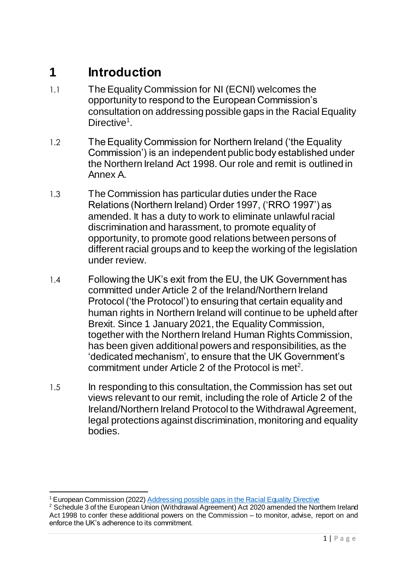### <span id="page-2-0"></span>**1 Introduction**

- 1.1 The Equality Commission for NI (ECNI) welcomes the opportunity to respond to the European Commission's consultation on addressing possible gaps in the Racial Equality Directive<sup>1</sup>.
- 1.2 The Equality Commission for Northern Ireland ('the Equality Commission') is an independent public body established under the Northern Ireland Act 1998. Our role and remit is outlined in Annex A.
- 1.3 The Commission has particular duties under the Race Relations (Northern Ireland) Order 1997, ('RRO 1997') as amended. It has a duty to work to eliminate unlawful racial discrimination and harassment, to promote equality of opportunity, to promote good relations between persons of different racial groups and to keep the working of the legislation under review.
- 1.4 Following the UK's exit from the EU, the UK Government has committed under Article 2 of the Ireland/Northern Ireland Protocol ('the Protocol') to ensuring that certain equality and human rights in Northern Ireland will continue to be upheld after Brexit. Since 1 January 2021, the Equality Commission, together with the Northern Ireland Human Rights Commission, has been given additional powers and responsibilities, as the 'dedicated mechanism', to ensure that the UK Government's commitment under Article 2 of the Protocol is met<sup>2</sup>.
- 1.5 In responding to this consultation, the Commission has set out views relevant to our remit, including the role of Article 2 of the Ireland/Northern Ireland Protocol to the Withdrawal Agreement, legal protections against discrimination, monitoring and equality bodies.

 $\overline{a}$ <sup>1</sup> European Commission (2022[\) Addressing possible gaps in the Racial Equality Directive](https://ec.europa.eu/info/law/better-regulation/have-your-say/initiatives/13178-Addressing-possible-gaps-in-the-Racial-Equality-Directive/public-consultation_en)

<sup>&</sup>lt;sup>2</sup> Schedule 3 of the European Union (Withdrawal Agreement) Act 2020 amended the Northern Ireland Act 1998 to confer these additional powers on the Commission – to monitor, advise, report on and enforce the UK's adherence to its commitment.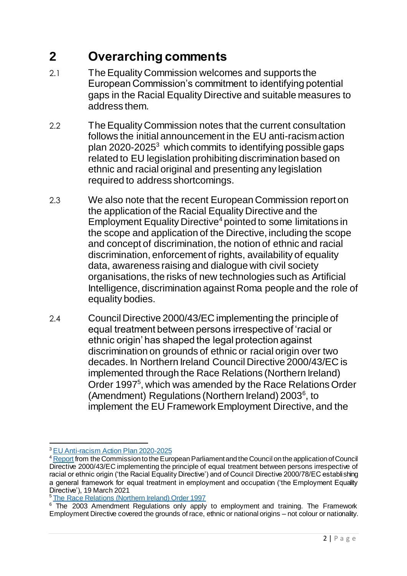## <span id="page-3-0"></span>**2 Overarching comments**

- 2.1 The Equality Commission welcomes and supports the European Commission's commitment to identifying potential gaps in the Racial Equality Directive and suitable measures to address them.
- 2.2 The Equality Commission notes that the current consultation follows the initial announcement in the EU anti-racism action plan 2020-2025<sup>3</sup> which commits to identifying possible gaps related to EU legislation prohibiting discrimination based on ethnic and racial original and presenting any legislation required to address shortcomings.
- 2.3 We also note that the recent European Commission report on the application of the Racial Equality Directive and the Employment Equality Directive<sup>4</sup> pointed to some limitations in the scope and application of the Directive, including the scope and concept of discrimination, the notion of ethnic and racial discrimination, enforcement of rights, availability of equality data, awareness raising and dialogue with civil society organisations, the risks of new technologies such as Artificial Intelligence, discrimination against Roma people and the role of equality bodies.
- 2.4 Council Directive 2000/43/EC implementing the principle of equal treatment between persons irrespective of 'racial or ethnic origin' has shaped the legal protection against discrimination on grounds of ethnic or racial origin over two decades. In Northern Ireland Council Directive 2000/43/EC is implemented through the Race Relations (Northern Ireland) Order 1997<sup>5</sup>, which was amended by the Race Relations Order (Amendment) Regulations (Northern Ireland) 2003<sup>6</sup>, to implement the EU Framework Employment Directive, and the

 $\overline{a}$ <sup>3</sup> [EU Anti-racism Action Plan 2020-2025](https://ec.europa.eu/info/policies/justice-and-fundamental-rights/combatting-discrimination/racism-and-xenophobia/eu-anti-racism-action-plan-2020-2025_en)

<sup>4</sup> [Report](https://eur-lex.europa.eu/legal-content/EN/TXT/?uri=COM:2021:139:FIN&qid=1616151165622) from the Commission to the European Parliament and the Council on the application of Council Directive 2000/43/EC implementing the principle of equal treatment between persons irrespective of racial or ethnic origin ('the Racial Equality Directive') and of Council Directive 2000/78/EC establishing a general framework for equal treatment in employment and occupation ('the Employment Equality Directive'), 19 March 2021

<sup>5</sup> [The Race Relations \(Northern Ireland\) Order 1997](https://www.legislation.gov.uk/nisi/1997/869/contents/made)

<sup>&</sup>lt;sup>6</sup> The 2003 Amendment Regulations only apply to employment and training. The Framework Employment Directive covered the grounds of race, ethnic or national origins – not colour or nationality.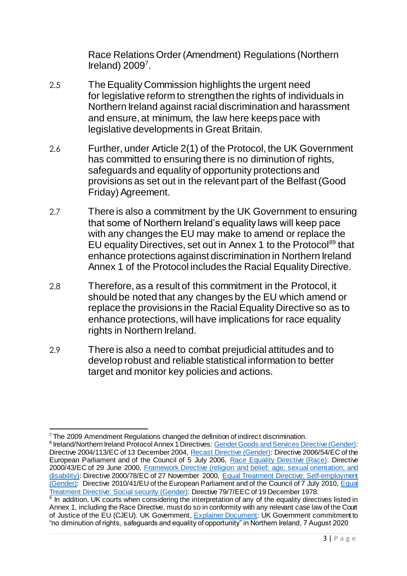Race Relations Order (Amendment) Regulations (Northern Ireland)  $2009<sup>7</sup>$ .

- 2.5 The Equality Commission highlights the urgent need for legislative reform to strengthen the rights of individuals in Northern Ireland against racial discrimination and harassment and ensure, at minimum, the law here keeps pace with legislative developments in Great Britain.
- 2.6 Further, under Article 2(1) of the Protocol, the UK Government has committed to ensuring there is no diminution of rights, safeguards and equality of opportunity protections and provisions as set out in the relevant part of the Belfast (Good Friday) Agreement.
- 2.7 There is also a commitment by the UK Government to ensuring that some of Northern Ireland's equality laws will keep pace with any changes the EU may make to amend or replace the EU equality Directives, set out in Annex 1 to the Protocol<sup>89</sup> that enhance protections against discrimination in Northern Ireland Annex 1 of the Protocol includes the Racial Equality Directive.
- 2.8 Therefore, as a result of this commitment in the Protocol, it should be noted that any changes by the EU which amend or replace the provisions in the Racial Equality Directive so as to enhance protections, will have implications for race equality rights in Northern Ireland.
- 2.9 There is also a need to combat prejudicial attitudes and to develop robust and reliable statistical information to better target and monitor key policies and actions.

 $\overline{a}$ <sup>7</sup> The 2009 Amendment Regulations changed the definition of indirect discrimination.

<sup>&</sup>lt;sup>8</sup> Ireland/Northern Ireland Protocol Annex 1 Directives[: Gender Goods and Services Directive \(Gender\):](https://eur-lex.europa.eu/legal-content/EN/TXT/?uri=celex%3A32004L0113) Directive 2004/113/EC of 13 December 2004, [Recast Directive \(Gender\):](https://eur-lex.europa.eu/legal-content/EN/TXT/?uri=celex%3A32006L0054) Directive 2006/54/EC of the European Parliament and of the Council of 5 July 2006, [Race Equality Directive \(Race\):](https://eur-lex.europa.eu/legal-content/EN/TXT/?uri=CELEX%3A32000L0043) Directive 2000/43/EC of 29 June 2000, [Framework Directive \(religion and belief; age; sexual orientation;](https://eur-lex.europa.eu/legal-content/EN/TXT/HTML/?uri=CELEX:32000L0078&from=EN) and [disability\)](https://eur-lex.europa.eu/legal-content/EN/TXT/HTML/?uri=CELEX:32000L0078&from=EN): Directive 2000/78/EC of 27 November 2000, Equal Treatment Directive: Self-employment [\(Gender\):](https://eur-lex.europa.eu/legal-content/EN/TXT/?uri=celex%3A32010L0041) Directive 2010/41/EU of the European Parliament and of the Council of 7 July 2010, Equal [Treatment Directive: Social security \(Gender\)](https://eur-lex.europa.eu/legal-content/EN/ALL/?uri=celex%3A31979L0007): Directive 79/7/EEC of 19 December 1978.<br><sup>9</sup> In addition, UK courts when considering the interpretation of any of the equality directives listed in

Annex 1, including the Race Directive, must do so in conformity with any relevant case law of the Court of Justice of the EU (CJEU). UK Government, [Explainer Document:](https://www.gov.uk/government/publications/protocol-on-irelandnorthern-ireland-article-2) UK Government commitment to "no diminution of rights, safeguards and equality of opportunity" in Northern Ireland, 7 August 2020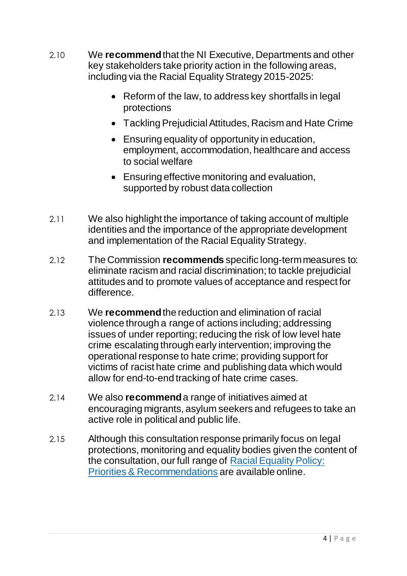- 2.10 We **recommend**that the NI Executive, Departments and other key stakeholders take priority action in the following areas, including via the Racial Equality Strategy 2015-2025:
	- Reform of the law, to address key shortfalls in legal protections
	- Tackling Prejudicial Attitudes, Racism and Hate Crime
	- Ensuring equality of opportunity in education, employment, accommodation, healthcare and access to social welfare
	- Ensuring effective monitoring and evaluation, supported by robust data collection
- 2.11 We also highlight the importance of taking account of multiple identities and the importance of the appropriate development and implementation of the Racial Equality Strategy.
- 2.12 The Commission **recommends** specific long-term measures to: eliminate racism and racial discrimination; to tackle prejudicial attitudes and to promote values of acceptance and respect for difference.
- 2.13 We **recommend**the reduction and elimination of racial violence through a range of actions including; addressing issues of under reporting; reducing the risk of low level hate crime escalating through early intervention; improving the operational response to hate crime; providing support for victims of racist hate crime and publishing data which would allow for end-to-end tracking of hate crime cases.
- 2.14 We also **recommend**a range of initiatives aimed at encouraging migrants, asylum seekers and refugees to take an active role in political and public life.
- 2.15 Although this consultation response primarily focus on legal protections, monitoring and equality bodies given the content of the consultation, our full range of [Racial Equality Policy:](https://www.equalityni.org/ECNI/media/ECNI/Publications/Delivering%20Equality/RacialEquality_PolicyPosition2014.pdf)  [Priorities & Recommendations](https://www.equalityni.org/ECNI/media/ECNI/Publications/Delivering%20Equality/RacialEquality_PolicyPosition2014.pdf) are available online.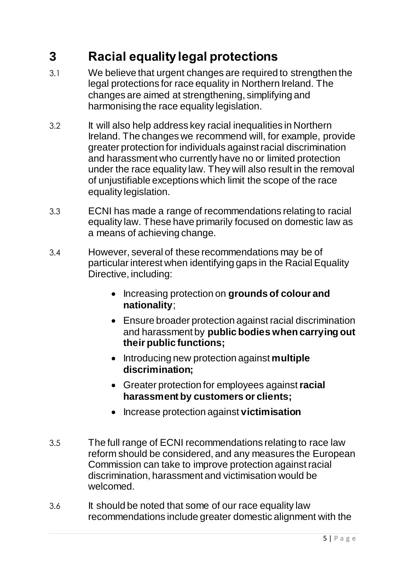## <span id="page-6-0"></span>**3 Racial equality legal protections**

- 3.1 We believe that urgent changes are required to strengthen the legal protections for race equality in Northern Ireland. The changes are aimed at strengthening, simplifying and harmonising the race equality legislation.
- 3.2 It will also help address key racial inequalities in Northern Ireland. The changes we recommend will, for example, provide greater protection for individuals against racial discrimination and harassment who currently have no or limited protection under the race equality law. They will also result in the removal of unjustifiable exceptions which limit the scope of the race equality legislation.
- 3.3 ECNI has made a range of recommendations relating to racial equality law. These have primarily focused on domestic law as a means of achieving change.
- 3.4 However, several of these recommendations may be of particular interest when identifying gaps in the Racial Equality Directive, including:
	- **•** Increasing protection on grounds of colour and **nationality**;
	- Ensure broader protection against racial discrimination and harassment by **public bodies when carrying out their public functions;**
	- Introducing new protection against **multiple discrimination;**
	- Greater protection for employees against **racial harassment by customers or clients;**
	- Increase protection against **victimisation**
- 3.5 The full range of ECNI recommendations relating to race law reform should be considered, and any measures the European Commission can take to improve protection against racial discrimination, harassment and victimisation would be welcomed.
- 3.6 It should be noted that some of our race equality law recommendations include greater domestic alignment with the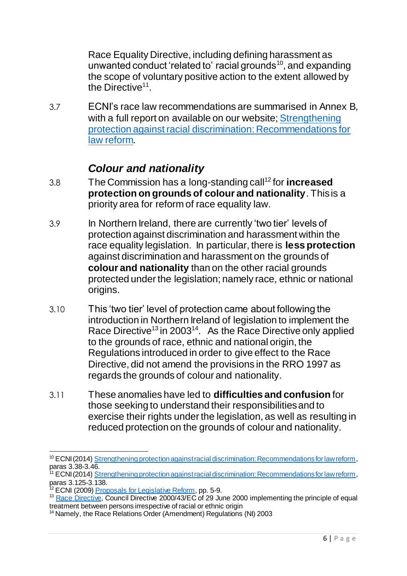Race Equality Directive, including defining harassment as unwanted conduct 'related to' racial grounds<sup>10</sup>, and expanding the scope of voluntary positive action to the extent allowed by the Directive<sup>11</sup>.

3.7 ECNI's race law recommendations are summarised in Annex B, with a full report on available on our website; Strengthening [protection against racial discrimination: Recommendations for](https://www.equalityni.org/ECNI/media/ECNI/Publications/Delivering%20Equality/RaceLawReform-FullReport.pdf)  [law reform.](https://www.equalityni.org/ECNI/media/ECNI/Publications/Delivering%20Equality/RaceLawReform-FullReport.pdf)

#### *Colour and nationality*

- <span id="page-7-0"></span>3.8 The Commission has a long-standing call<sup>12</sup> for **increased protection on grounds of colour and nationality**. This is a priority area for reform of race equality law.
- 3.9 In Northern Ireland, there are currently 'two tier' levels of protection against discrimination and harassment within the race equality legislation. In particular, there is **less protection** against discrimination and harassment on the grounds of **colour and nationality** than on the other racial grounds protected under the legislation; namely race, ethnic or national origins.
- 3.10 This 'two tier' level of protection came about following the introduction in Northern Ireland of legislation to implement the Race Directive<sup>13</sup> in 2003<sup>14</sup>. As the Race Directive only applied to the grounds of race, ethnic and national origin, the Regulations introduced in order to give effect to the Race Directive, did not amend the provisions in the RRO 1997 as regards the grounds of colour and nationality.
- 3.11 These anomalies have led to **difficulties and confusion** for those seeking to understand their responsibilities and to exercise their rights under the legislation, as well as resulting in reduced protection on the grounds of colour and nationality.

 $\overline{a}$ <sup>10</sup> ECNI (2014) [Strengthening protection against racial discrimination: Recommendations for law reform,](https://www.equalityni.org/ECNI/media/ECNI/Publications/Delivering%20Equality/RaceLawReform-FullReport.pdf) paras 3.38-3.46.

<sup>&</sup>lt;sup>1</sup> ECNI (2014) [Strengthening protection against racial discrimination: Recommendations for law reform,](https://www.equalityni.org/ECNI/media/ECNI/Publications/Delivering%20Equality/RaceLawReform-FullReport.pdf) paras 3.125-3.138.

<sup>&</sup>lt;sup>12</sup> ECNI (2009) [Proposals for Legislative Reform,](https://www.equalityni.org/ECNI/media/ECNI/Publications/Delivering%20Equality/Proposals_for_legislative_reform060209.pdf?ext=.pdf) pp. 5-9.

<sup>&</sup>lt;sup>13</sup> [Race Directive,](http://eur-lex.europa.eu/LexUriServ/LexUriServ.do?uri=CELEX:32000L0043:en:HTML) Council Directive 2000/43/EC of 29 June 2000 implementing the principle of equal treatment between persons irrespective of racial or ethnic origin

<sup>&</sup>lt;sup>14</sup> Namely, the Race Relations Order (Amendment) Regulations (NI) 2003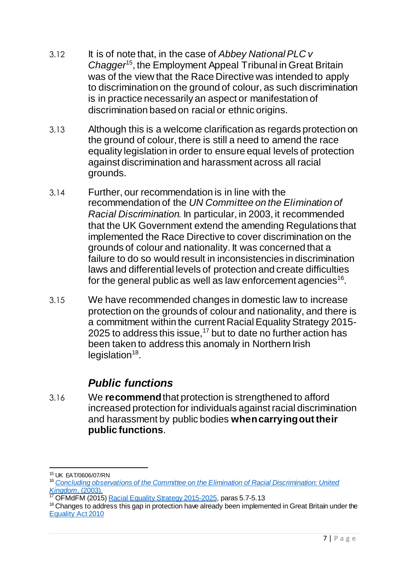- 3.12 It is of note that, in the case of *Abbey National PLC v Chagger*<sup>15</sup>, the Employment Appeal Tribunal in Great Britain was of the view that the Race Directive was intended to apply to discrimination on the ground of colour, as such discrimination is in practice necessarily an aspect or manifestation of discrimination based on racial or ethnic origins.
- 3.13 Although this is a welcome clarification as regards protection on the ground of colour, there is still a need to amend the race equality legislation in order to ensure equal levels of protection against discrimination and harassment across all racial grounds.
- 3.14 Further, our recommendation is in line with the recommendation of the *UN Committee on the Elimination of Racial Discrimination.* In particular, in 2003, it recommended that the UK Government extend the amending Regulations that implemented the Race Directive to cover discrimination on the grounds of colour and nationality. It was concerned that a failure to do so would result in inconsistencies in discrimination laws and differential levels of protection and create difficulties for the general public as well as law enforcement agencies<sup>16</sup>.
- 3.15 We have recommended changes in domestic law to increase protection on the grounds of colour and nationality, and there is a commitment within the current Racial Equality Strategy 2015- 2025 to address this issue,<sup>17</sup> but to date no further action has been taken to address this anomaly in Northern Irish legislation<sup>18</sup>.

#### *Public functions*

<span id="page-8-0"></span>3.16 We **recommend** that protection is strengthened to afford increased protection for individuals against racial discrimination and harassment by public bodies **when carrying out their public functions**.

 $\overline{a}$ <sup>15</sup> UK EAT/0606/07/RN

<sup>16</sup> *[Concluding observations of the Committee on the Elimination of Racial Discrimination: United](http://docstore.ohchr.org/SelfServices/FilesHandler.ashx?enc=6QkG1d%2fPPRiCAqhKb7yhshGaTDZN2XHf9a81uBueOrCn9LIM6YK%2b6%2bycVkMJAx6JVCOjQfA%2fqxZi3yg3lA0AdkGMpfUQGg88Yu4H%2b7f90wCsHrFtro8ZGM%2ffSPmWUX%2fa)  [Kingdom](http://docstore.ohchr.org/SelfServices/FilesHandler.ashx?enc=6QkG1d%2fPPRiCAqhKb7yhshGaTDZN2XHf9a81uBueOrCn9LIM6YK%2b6%2bycVkMJAx6JVCOjQfA%2fqxZi3yg3lA0AdkGMpfUQGg88Yu4H%2b7f90wCsHrFtro8ZGM%2ffSPmWUX%2fa)*, (2003).

<sup>&</sup>lt;sup>17</sup> OFMdFM (2015) [Racial Equality Strategy 2015-2025,](https://www.executiveoffice-ni.gov.uk/sites/default/files/publications/ofmdfm/racial-equality-strategy-2015-2025.pdf) paras 5.7-5.13

<sup>&</sup>lt;sup>18</sup> Changes to address this gap in protection have already been implemented in Great Britain under the [Equality Act 2010](http://www.legislation.gov.uk/ukpga/2010/15/contents)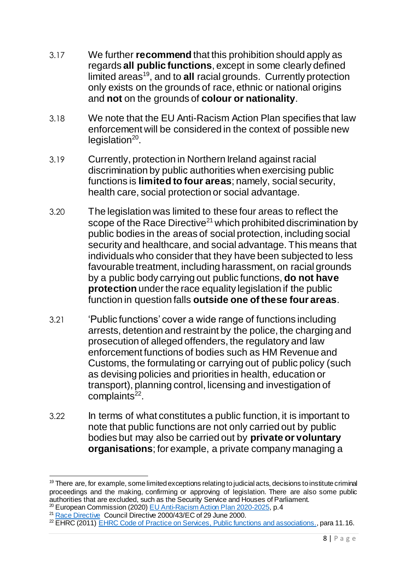- 3.17 We further **recommend** that this prohibition should apply as regards **all public functions**, except in some clearly defined limited areas<sup>19</sup>, and to all racial grounds. Currently protection only exists on the grounds of race, ethnic or national origins and **not** on the grounds of **colour or nationality**.
- 3.18 We note that the EU Anti-Racism Action Plan specifies that law enforcement will be considered in the context of possible new legislation<sup>20</sup>.
- 3.19 Currently, protection in Northern Ireland against racial discrimination by public authorities when exercising public functions is **limited to four areas**; namely, social security, health care, social protection or social advantage.
- 3.20 The legislation was limited to these four areas to reflect the scope of the Race Directive<sup>21</sup> which prohibited discrimination by public bodies in the areas of social protection, including social security and healthcare, and social advantage. This means that individuals who consider that they have been subjected to less favourable treatment, including harassment, on racial grounds by a public body carrying out public functions, **do not have protection** under the race equality legislation if the public function in question falls **outside one of these four areas**.
- 3.21 'Public functions' cover a wide range of functions including arrests, detention and restraint by the police, the charging and prosecution of alleged offenders, the regulatory and law enforcement functions of bodies such as HM Revenue and Customs, the formulating or carrying out of public policy (such as devising policies and priorities in health, education or transport), planning control, licensing and investigation of complaints<sup>22</sup>.
- 3.22 In terms of what constitutes a public function, it is important to note that public functions are not only carried out by public bodies but may also be carried out by **private or voluntary organisations**; for example, a private company managing a

 $\overline{a}$  $19$  There are, for example, some limited exceptions relating to judicial acts, decisions to institute criminal proceedings and the making, confirming or approving of legislation. There are also some public authorities that are excluded, such as the Security Service and Houses of Parliament.

<sup>&</sup>lt;sup>20</sup> European Commission (2020) <u>EU Anti-Racism Action Plan 2020-2025</u>, p.4 <sup>21</sup> [Race Directive](http://eur-lex.europa.eu/LexUriServ/LexUriServ.do?uri=CELEX:32000L0043:en:HTML) Council Directive 2000/43/EC of 29 June 2000.

<sup>&</sup>lt;sup>22</sup> EHRC (2011) [EHRC Code of Practice on Services, Public functions and associations.](https://www.equalityhumanrights.com/sites/default/files/servicescode_0.pdf), para 11.16.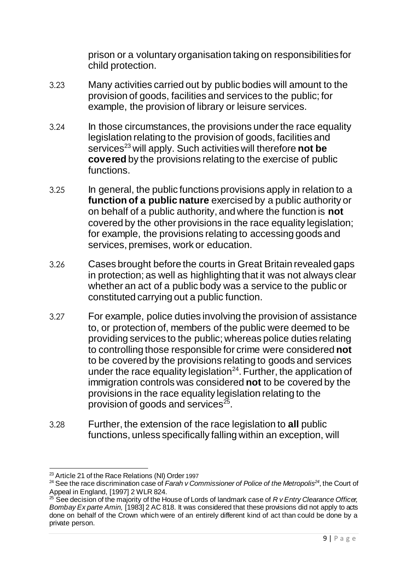prison or a voluntary organisation taking on responsibilities for child protection.

- 3.23 Many activities carried out by public bodies will amount to the provision of goods, facilities and services to the public; for example, the provision of library or leisure services.
- 3.24 In those circumstances, the provisions under the race equality legislation relating to the provision of goods, facilities and services<sup>23</sup> will apply. Such activities will therefore **not be covered** by the provisions relating to the exercise of public functions.
- 3.25 In general, the public functions provisions apply in relation to a **function of a public nature** exercised by a public authority or on behalf of a public authority, and where the function is **not** covered by the other provisions in the race equality legislation; for example, the provisions relating to accessing goods and services, premises, work or education.
- 3.26 Cases brought before the courts in Great Britain revealed gaps in protection; as well as highlighting that it was not always clear whether an act of a public body was a service to the public or constituted carrying out a public function.
- 3.27 For example, police duties involving the provision of assistance to, or protection of, members of the public were deemed to be providing services to the public; whereas police duties relating to controlling those responsible for crime were considered **not**  to be covered by the provisions relating to goods and services under the race equality legislation $^{24}$ . Further, the application of immigration controls was considered **not** to be covered by the provisions in the race equality legislation relating to the provision of goods and services $^{25}$ .
- 3.28 Further, the extension of the race legislation to **all** public functions, unless specifically falling within an exception, will

 $\overline{a}$  $^{23}$  Article 21 of the Race Relations (NI) Order 1997

<sup>24</sup> See the race discrimination case of *Farah v Commissioner of Police of the Metropolis<sup>24</sup>*, the Court of Appeal in England, [1997] 2 WLR 824.

<sup>25</sup> See decision of the majority of the House of Lords of landmark case of *R v Entry Clearance Officer, Bombay Ex parte Amin,* [1983] 2 AC 818. It was considered that these provisions did not apply to acts done on behalf of the Crown which were of an entirely different kind of act than could be done by a private person.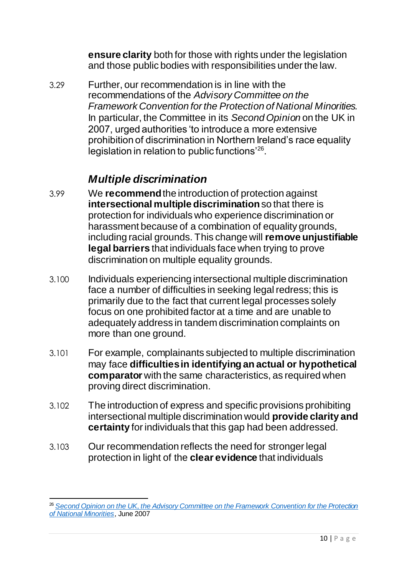**ensure clarity** both for those with rights under the legislation and those public bodies with responsibilities under the law.

3.29 Further, our recommendation is in line with the recommendations of the *Advisory Committee on the Framework Convention for the Protection of National Minorities.*  In particular, the Committee in its *Second Opinion* on the UK in 2007, urged authorities 'to introduce a more extensive prohibition of discrimination in Northern Ireland's race equality legislation in relation to public functions'<sup>26</sup>.

#### *Multiple discrimination*

- <span id="page-11-0"></span>3.99 We **recommend** the introduction of protection against **intersectional multiple discrimination** so that there is protection for individuals who experience discrimination or harassment because of a combination of equality grounds, including racial grounds. This change will **remove unjustifiable legal barriers** that individuals face when trying to prove discrimination on multiple equality grounds.
- 3.100 Individuals experiencing intersectional multiple discrimination face a number of difficulties in seeking legal redress; this is primarily due to the fact that current legal processes solely focus on one prohibited factor at a time and are unable to adequately address in tandem discrimination complaints on more than one ground.
- 3.101 For example, complainants subjected to multiple discrimination may face **difficulties in identifying an actual or hypothetical comparator** with the same characteristics, as required when proving direct discrimination.
- 3.102 The introduction of express and specific provisions prohibiting intersectional multiple discrimination would **provide clarity and certainty** for individuals that this gap had been addressed.
- 3.103 Our recommendation reflects the need for stronger legal protection in light of the **clear evidence** that individuals

 $\overline{a}$ <sup>26</sup> *[Second Opinion on the UK, the Advisory Committee on the Framework Convention for the Protection](http://www.coe.int/t/dghl/monitoring/minorities/3_FCNMdocs/PDF_2nd_OP_UK_en.pdf)  [of National Minorities](http://www.coe.int/t/dghl/monitoring/minorities/3_FCNMdocs/PDF_2nd_OP_UK_en.pdf)*, June 2007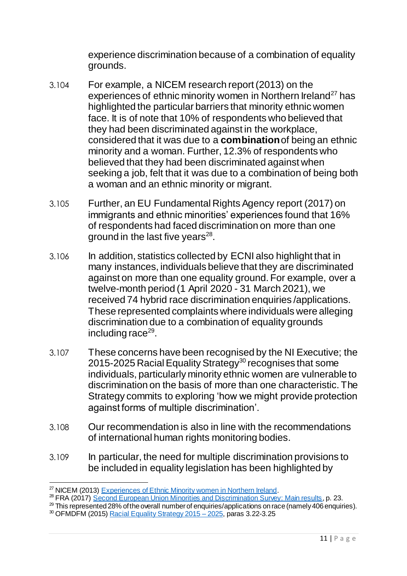experience discrimination because of a combination of equality grounds.

- 3.104 For example, a NICEM research report (2013) on the experiences of ethnic minority women in Northern Ireland<sup>27</sup> has highlighted the particular barriers that minority ethnic women face. It is of note that 10% of respondents who believed that they had been discriminated against in the workplace, considered that it was due to a **combination**of being an ethnic minority and a woman. Further, 12.3% of respondents who believed that they had been discriminated against when seeking a job, felt that it was due to a combination of being both a woman and an ethnic minority or migrant.
- 3.105 Further, an EU Fundamental Rights Agency report (2017) on immigrants and ethnic minorities' experiences found that 16% of respondents had faced discrimination on more than one ground in the last five years<sup>28</sup>.
- 3.106 In addition, statistics collected by ECNI also highlight that in many instances, individuals believe that they are discriminated against on more than one equality ground. For example, over a twelve-month period (1 April 2020 - 31 March 2021), we received 74 hybrid race discrimination enquiries /applications. These represented complaints where individuals were alleging discrimination due to a combination of equality grounds including race<sup>29</sup>.
- 3.107 These concerns have been recognised by the NI Executive; the 2015-2025 Racial Equality Strategy<sup>30</sup> recognises that some individuals, particularly minority ethnic women are vulnerable to discrimination on the basis of more than one characteristic. The Strategy commits to exploring 'how we might provide protection against forms of multiple discrimination'.
- 3.108 Our recommendation is also in line with the recommendations of international human rights monitoring bodies.
- 3.109 In particular, the need for multiple discrimination provisions to be included in equality legislation has been highlighted by

1

<sup>29</sup> This represented 28% of the overall number of enquiries/applications on race (namely 406 enquiries).

<sup>&</sup>lt;sup>27</sup> NICEM (2013) [Experiences of Ethnic Minority women in Northern Ireland.](http://www.google.co.uk/url?sa=t&rct=j&q=&esrc=s&source=web&cd=2&cad=rja&uact=8&ved=0CCcQFjAB&url=http%3A%2F%2Fnicem.org.uk%2Fwp-content%2Fuploads%2F2014%2F03%2FEoEMWiNI-1.pdf&ei=K63kU6ijHMe60QXO6YH4CQ&usg=AFQjCNGokx8I59fwQGsYUiW3x7qUb4w6HA&bvm=bv.72676100)

<sup>&</sup>lt;sup>28</sup> FRA (2017) [Second European Union Minorities and Discrimination Survey: Main results,](https://fra.europa.eu/sites/default/files/fra_uploads/fra-2017-eu-midis-ii-main-results_en.pdf) p. 23.

<sup>&</sup>lt;sup>30</sup> OFMDFM (2015) [Racial Equality Strategy 2015 –](https://www.executiveoffice-ni.gov.uk/sites/default/files/publications/ofmdfm/racial-equality-strategy-2015-2025.pdf) 2025, paras 3.22-3.25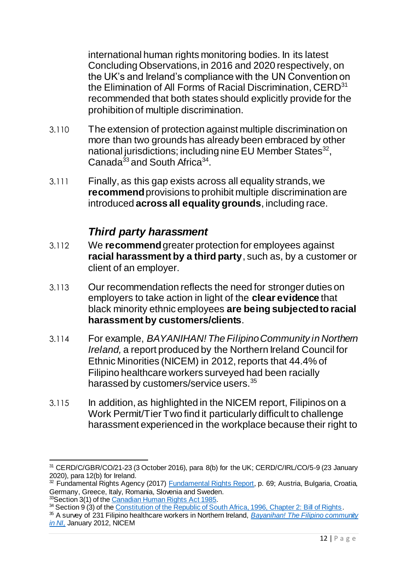international human rights monitoring bodies. In its latest Concluding Observations, in 2016 and 2020 respectively, on the UK's and Ireland's compliance with the UN Convention on the Elimination of All Forms of Racial Discrimination, CERD<sup>31</sup> recommended that both states should explicitly provide for the prohibition of multiple discrimination.

- 3.110 The extension of protection against multiple discrimination on more than two grounds has already been embraced by other national jurisdictions; including nine EU Member States $^{32}$ , Canada<sup>33</sup> and South Africa<sup>34</sup>.
- 3.111 Finally, as this gap exists across all equality strands, we **recommend** provisions to prohibit multiple discrimination are introduced **across all equality grounds**, including race.

#### *Third party harassment*

- <span id="page-13-0"></span>3.112 We **recommend**greater protection for employees against **racial harassment by a third party**, such as, by a customer or client of an employer.
- 3.113 Our recommendation reflects the need for stronger duties on employers to take action in light of the **clear evidence** that black minority ethnic employees **are being subjected to racial harassment by customers/clients**.
- 3.114 For example, *BAYANIHAN! The Filipino Community in Northern Ireland,* a report produced by the Northern Ireland Council for Ethnic Minorities (NICEM) in 2012, reports that 44.4% of Filipino healthcare workers surveyed had been racially harassed by customers/service users.<sup>35</sup>
- 3.115 In addition, as highlighted in the NICEM report, Filipinos on a Work Permit/Tier Two find it particularly difficult to challenge harassment experienced in the workplace because their right to

 $\overline{a}$ <sup>31</sup> CERD/C/GBR/CO/21-23 (3 October 2016), para 8(b) for the UK; CERD/C/IRL/CO/5-9 (23 January 2020), para 12(b) for Ireland.

<sup>&</sup>lt;sup>32</sup> Fundamental Rights Agency (2017) **Fundamental Rights Report**, p. 69; Austria, Bulgaria, Croatia, Germany, Greece, Italy, Romania, Slovenia and Sweden. <sup>33</sup>Section 3(1) of th[e Canadian Human Rights Act 1985.](https://laws-lois.justice.gc.ca/eng/acts/h-6/page-1.html#h-256801)

<sup>&</sup>lt;sup>34</sup> Section 9 (3) of the [Constitution of the Republic of South Africa, 1996, Chapter 2: Bill of Rights.](https://www.gov.za/documents/constitution/chapter-2-bill-rights#9)

<sup>35</sup> A survey of 231 Filipino healthcare workers in Northern Ireland, *[Bayanihan! The Filipino community](http://www.google.co.uk/url?sa=t&rct=j&q=&esrc=s&source=web&cd=2&cad=rja&uact=8&ved=0CCUQFjAB&url=http%3A%2F%2Fnicem.org.uk%2Fwp-content%2Fuploads%2F2014%2F03%2FBayanihan_January_2012.pdf&ei=O67kU8-4AbSg7Aa94IDQDg&usg=AFQjCNH9z5ykGw9Y4GDFA1LWq6RhSO8TJw&bvm)  [in NI,](http://www.google.co.uk/url?sa=t&rct=j&q=&esrc=s&source=web&cd=2&cad=rja&uact=8&ved=0CCUQFjAB&url=http%3A%2F%2Fnicem.org.uk%2Fwp-content%2Fuploads%2F2014%2F03%2FBayanihan_January_2012.pdf&ei=O67kU8-4AbSg7Aa94IDQDg&usg=AFQjCNH9z5ykGw9Y4GDFA1LWq6RhSO8TJw&bvm)* January 2012, NICEM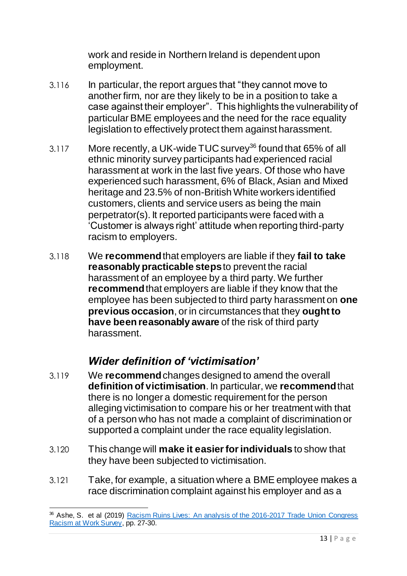work and reside in Northern Ireland is dependent upon employment.

- 3.116 In particular, the report argues that "they cannot move to another firm, nor are they likely to be in a position to take a case against their employer". This highlights the vulnerability of particular BME employees and the need for the race equality legislation to effectively protect them against harassment.
- 3.117 More recently, a UK-wide TUC survey<sup>36</sup> found that 65% of all ethnic minority survey participants had experienced racial harassment at work in the last five years. Of those who have experienced such harassment, 6% of Black, Asian and Mixed heritage and 23.5% of non-British White workers identified customers, clients and service users as being the main perpetrator(s). It reported participants were faced with a 'Customer is always right' attitude when reporting third-party racism to employers.
- 3.118 We **recommend** that employers are liable if they **fail to take reasonably practicable steps**to prevent the racial harassment of an employee by a third party. We further **recommend**that employers are liable if they know that the employee has been subjected to third party harassment on **one previous occasion**, or in circumstances that they **ought to have been reasonably aware** of the risk of third party harassment.

#### *Wider definition of 'victimisation'*

- <span id="page-14-0"></span>3.119 We **recommend** changes designed to amend the overall **definition of victimisation**. In particular, we **recommend**that there is no longer a domestic requirement for the person alleging victimisation to compare his or her treatment with that of a person who has not made a complaint of discrimination or supported a complaint under the race equality legislation.
- 3.120 This change will **make it easier for individuals** to show that they have been subjected to victimisation.
- 3.121 Take, for example, a situation where a BME employee makes a race discrimination complaint against his employer and as a

 $\overline{a}$ <sup>36</sup> Ashe, S. et al (2019) **Racism Ruins Lives: An analysis of the 2016-2017 Trade Union Congress** [Racism at Work Survey,](http://hummedia.manchester.ac.uk/institutes/code/research/projects/racism-at-work/tuc-full-report.pdf) pp. 27-30.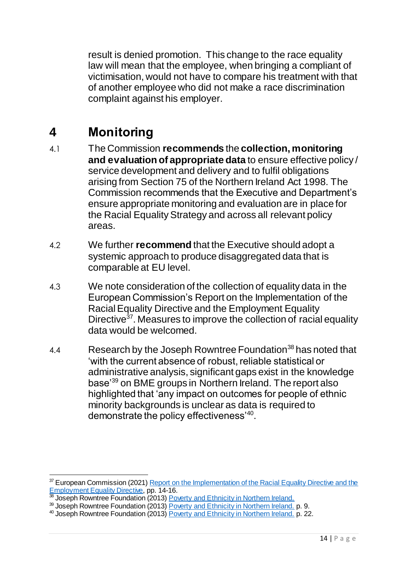result is denied promotion. This change to the race equality law will mean that the employee, when bringing a compliant of victimisation, would not have to compare his treatment with that of another employee who did not make a race discrimination complaint against his employer.

## <span id="page-15-0"></span>**4 Monitoring**

- 4.1 The Commission **recommends** the **collection, monitoring and evaluation of appropriate data** to ensure effective policy / service development and delivery and to fulfil obligations arising from Section 75 of the Northern Ireland Act 1998. The Commission recommends that the Executive and Department's ensure appropriate monitoring and evaluation are in place for the Racial Equality Strategy and across all relevant policy areas.
- 4.2 We further **recommend** that the Executive should adopt a systemic approach to produce disaggregated data that is comparable at EU level.
- 4.3 We note consideration of the collection of equality data in the European Commission's Report on the Implementation of the Racial Equality Directive and the Employment Equality Directive<sup>37</sup>. Measures to improve the collection of racial equality data would be welcomed.
- 4.4 Research by the Joseph Rowntree Foundation<sup>38</sup> has noted that 'with the current absence of robust, reliable statistical or administrative analysis, significant gaps exist in the knowledge base'<sup>39</sup> on BME groups in Northern Ireland. The report also highlighted that 'any impact on outcomes for people of ethnic minority backgrounds is unclear as data is required to demonstrate the policy effectiveness<sup>'40</sup>.

<sup>1</sup> <sup>37</sup> European Commission (2021) Report on the Implementation of the Racial Equality Directive and the **[Employment Equality Directive,](https://ec.europa.eu/info/sites/default/files/report_on_the_application_of_the_racial_equality_directive_and_the_employment_equality_directive_en.pdf) pp. 14-16.** 

<sup>&</sup>lt;sup>38</sup> Joseph Rowntree Foundation (2013) **Poverty and Ethnicity in Northern Ireland.** 

<sup>&</sup>lt;sup>39</sup> Joseph Rowntree Foundation (2013) **Poverty and Ethnicity in Northern Ireland.** p. 9.

 $40$  Joseph Rowntree Foundation (2013) [Poverty and Ethnicity in Northern Ireland.](https://www.jrf.org.uk/sites/default/files/jrf/migrated/files/poverty-ethnicity-northern-ireland-full.pdf) p. 22.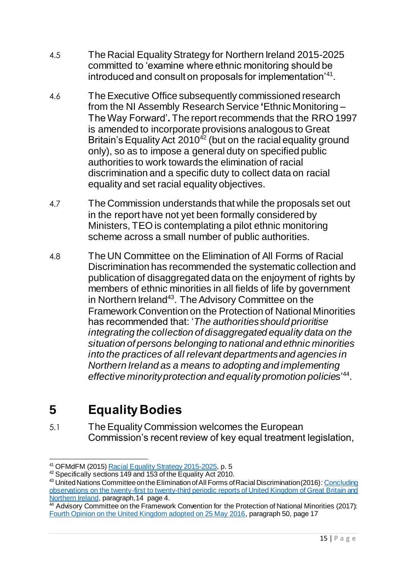- 4.5 The Racial Equality Strategy for Northern Ireland 2015-2025 committed to 'examine where ethnic monitoring should be introduced and consult on proposals for implementation<sup>'41</sup>.
- 4.6 The Executive Office subsequently commissioned research from the NI Assembly Research Service **'**Ethnic Monitoring – The Way Forward'**.** The report recommends that the RRO 1997 is amended to incorporate provisions analogous to Great Britain's Equality Act  $2010^{42}$  (but on the racial equality ground only), so as to impose a general duty on specified public authorities to work towards the elimination of racial discrimination and a specific duty to collect data on racial equality and set racial equality objectives.
- 4.7 The Commission understands that while the proposals set out in the report have not yet been formally considered by Ministers, TEO is contemplating a pilot ethnic monitoring scheme across a small number of public authorities.
- 4.8 The UN Committee on the Elimination of All Forms of Racial Discrimination has recommended the systematic collection and publication of disaggregated data on the enjoyment of rights by members of ethnic minorities in all fields of life by government in Northern Ireland<sup>43</sup>. The Advisory Committee on the Framework Convention on the Protection of National Minorities has recommended that: '*The authorities should prioritise integrating the collection of disaggregated equality data on the situation of persons belonging to national and ethnic minorities into the practices of all relevant departments and agencies in Northern Ireland as a means to adopting and implementing effective minority protection and equality promotion policies*' 44 .

# <span id="page-16-0"></span>**5 Equality Bodies**

5.1 The Equality Commission welcomes the European Commission's recent review of key equal treatment legislation,

 $\overline{a}$ <sup>41</sup> OFMdFM (2015) <u>Racial Equality Strategy 2015-2025</u>, p. 5

<sup>&</sup>lt;sup>42</sup> Specifically sections 149 and 153 of the Equality Act 2010.

<sup>43</sup> United Nations Committee on the Elimination of All Forms of Racial Discrimination (2016): Concluding [observations on the twenty-first to twenty-third periodic reports of United Kingdom of Great Britain and](https://tbinternet.ohchr.org/Treaties/CERD/Shared%20Documents/GBR/CERD_C_GBR_CO_21-23_24985_E.pdf?utm_source=NewZapp&utm_medium=email&utm_campaign=RaceEzine-KeyIssuesMay17)  [Northern Ireland,](https://tbinternet.ohchr.org/Treaties/CERD/Shared%20Documents/GBR/CERD_C_GBR_CO_21-23_24985_E.pdf?utm_source=NewZapp&utm_medium=email&utm_campaign=RaceEzine-KeyIssuesMay17) paragraph,14 page 4.

<sup>&</sup>lt;sup>44</sup> Advisory Committee on the Framework Convention for the Protection of National Minorities (2017): [Fourth Opinion on the United Kingdom adopted on 25 May 2016](https://rm.coe.int/CoERMPublicCommonSearchServices/DisplayDCTMContent?documentId=09000016806fb9ab&utm_source=NewZapp&utm_medium=email&utm_campaign=RaceEzine-KeyIssuesMay17), paragraph 50, page 17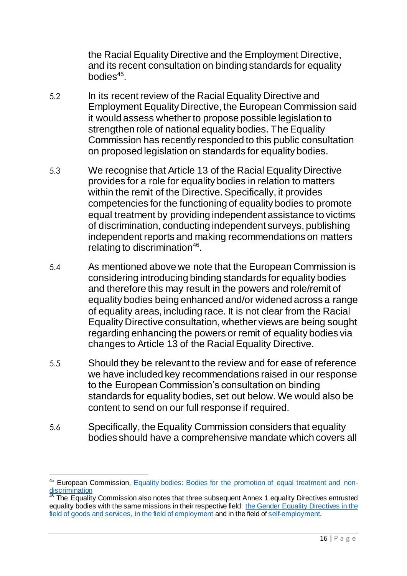the Racial Equality Directive and the Employment Directive, and its recent consultation on binding standards for equality bodies<sup>45</sup>.

- 5.2 In its recent review of the Racial Equality Directive and Employment Equality Directive, the European Commission said it would assess whether to propose possible legislation to strengthen role of national equality bodies. The Equality Commission has recently responded to this public consultation on proposed legislation on standards for equality bodies.
- 5.3 We recognise that Article 13 of the Racial Equality Directive provides for a role for equality bodies in relation to matters within the remit of the Directive. Specifically, it provides competencies for the functioning of equality bodies to promote equal treatment by providing independent assistance to victims of discrimination, conducting independent surveys, publishing independent reports and making recommendations on matters relating to discrimination<sup>46</sup>.
- 5.4 As mentioned above we note that the European Commission is considering introducing binding standards for equality bodies and therefore this may result in the powers and role/remit of equality bodies being enhanced and/or widened across a range of equality areas, including race. It is not clear from the Racial Equality Directive consultation, whether views are being sought regarding enhancing the powers or remit of equality bodies via changes to Article 13 of the Racial Equality Directive.
- 5.5 Should they be relevant to the review and for ease of reference we have included key recommendations raised in our response to the European Commission's consultation on binding standards for equality bodies, set out below. We would also be content to send on our full response if required.
- 5.6 Specifically, the Equality Commission considers that equality bodies should have a comprehensive mandate which covers all

<sup>1</sup> 45 European Commission, [Equality bodies: Bodies for the promotion of equal treatment and non](https://ec.europa.eu/info/policies/justice-and-fundamental-rights/combatting-discrimination/tackling-discrimination/equality-bodies_en)**[discrimination](https://ec.europa.eu/info/policies/justice-and-fundamental-rights/combatting-discrimination/tackling-discrimination/equality-bodies_en)** 

 $46$  The Equality Commission also notes that three subsequent Annex 1 equality Directives entrusted equality bodies with the same missions in their respective field: [the Gender Equality Directives in the](https://eur-lex.europa.eu/legal-content/EN/TXT/?uri=celex%3A32004L0113)  [field of goods and services,](https://eur-lex.europa.eu/legal-content/EN/TXT/?uri=celex%3A32004L0113) [in the field of employment](https://eur-lex.europa.eu/legal-content/EN/TXT/?uri=celex%3A32006L0054) and in the field o[f self-employment](https://eur-lex.europa.eu/legal-content/EN/TXT/?uri=celex%3A32010L0041).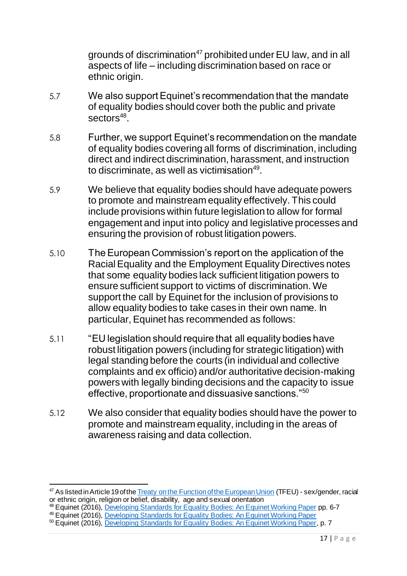grounds of discrimination<sup>47</sup> prohibited under EU law, and in all aspects of life – including discrimination based on race or ethnic origin.

- 5.7 We also support Equinet's recommendation that the mandate of equality bodies should cover both the public and private sectors<sup>48</sup>.
- 5.8 Further, we support Equinet's recommendation on the mandate of equality bodies covering all forms of discrimination, including direct and indirect discrimination, harassment, and instruction to discriminate, as well as victimisation<sup>49</sup>.
- 5.9 We believe that equality bodies should have adequate powers to promote and mainstream equality effectively. This could include provisions within future legislation to allow for formal engagement and input into policy and legislative processes and ensuring the provision of robust litigation powers.
- 5.10 The European Commission's report on the application of the Racial Equality and the Employment Equality Directives notes that some equality bodies lack sufficient litigation powers to ensure sufficient support to victims of discrimination. We support the call by Equinet for the inclusion of provisions to allow equality bodies to take cases in their own name. In particular, Equinet has recommended as follows:
- 5.11 "EU legislation should require that all equality bodies have robust litigation powers (including for strategic litigation) with legal standing before the courts (in individual and collective complaints and ex officio) and/or authoritative decision-making powers with legally binding decisions and the capacity to issue effective, proportionate and dissuasive sanctions."<sup>50</sup>
- 5.12 We also consider that equality bodies should have the power to promote and mainstream equality, including in the areas of awareness raising and data collection.

 $\overline{a}$ <sup>47</sup> As listed in Article 19 of the [Treaty on the Function of the European Union](https://eur-lex.europa.eu/legal-content/EN/TXT/?uri=celex%3A12012E%2FTXT) (TFEU) - sex/gender, racial or ethnic origin, religion or belief, disability, age and sexual orientation

<sup>&</sup>lt;sup>48</sup> Equinet (2016), [Developing Standards for Equality Bodies: An Equinet Working Paper](https://equineteurope.org/wp-content/uploads/2021/04/Legislating-for-strong-more-effective-NEBs-Recommendations.pdf) pp. 6-7

<sup>49</sup> Equinet (2016), [Developing Standards for Equality Bodies: An Equinet Working Paper](https://equineteurope.org/wp-content/uploads/2021/04/Legislating-for-strong-more-effective-NEBs-Recommendations.pdf)

<sup>50</sup> Equinet (2016), [Developing Standards for Equality Bodies: An Equinet Working Paper](https://equineteurope.org/wp-content/uploads/2021/04/Legislating-for-strong-more-effective-NEBs-Recommendations.pdf), p. 7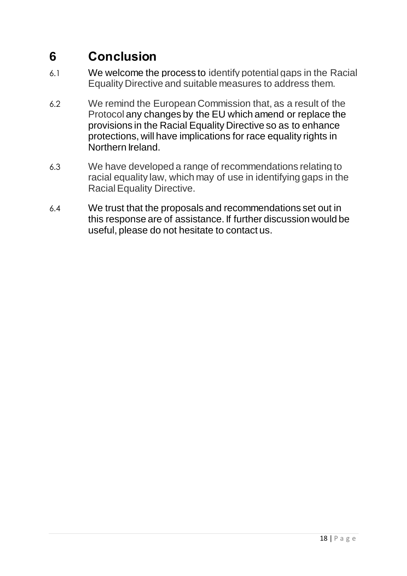## <span id="page-19-0"></span>**6 Conclusion**

- 6.1 We welcome the process to identify potential gaps in the Racial Equality Directive and suitable measures to address them.
- 6.2 We remind the European Commission that, as a result of the Protocol any changes by the EU which amend or replace the provisions in the Racial Equality Directive so as to enhance protections, will have implications for race equality rights in Northern Ireland.
- 6.3 We have developed a range of recommendations relating to racial equality law, which may of use in identifying gaps in the Racial Equality Directive.
- 6.4 We trust that the proposals and recommendations set out in this response are of assistance. If further discussion would be useful, please do not hesitate to contact us.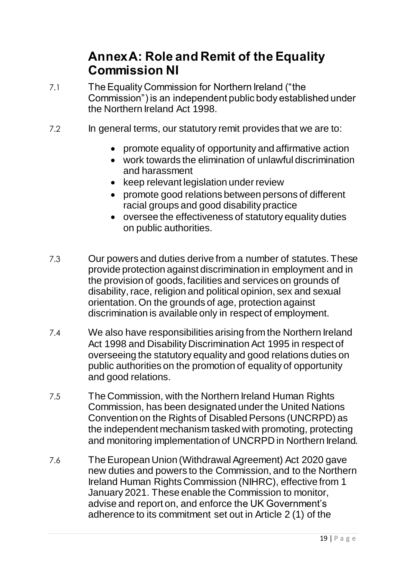### **Annex A: Role and Remit of the Equality Commission NI**

- <span id="page-20-0"></span>7.1 The Equality Commission for Northern Ireland ("the Commission") is an independent public body established under the Northern Ireland Act 1998.
- 7.2 In general terms, our statutory remit provides that we are to:
	- promote equality of opportunity and affirmative action
	- work towards the elimination of unlawful discrimination and harassment
	- keep relevant legislation under review
	- promote good relations between persons of different racial groups and good disability practice
	- oversee the effectiveness of statutory equality duties on public authorities.
- 7.3 Our powers and duties derive from a number of statutes. These provide protection against discrimination in employment and in the provision of goods, facilities and services on grounds of disability, race, religion and political opinion, sex and sexual orientation. On the grounds of age, protection against discrimination is available only in respect of employment.
- 7.4 We also have responsibilities arising from the Northern Ireland Act 1998 and Disability Discrimination Act 1995 in respect of overseeing the statutory equality and good relations duties on public authorities on the promotion of equality of opportunity and good relations.
- 7.5 The Commission, with the Northern Ireland Human Rights Commission, has been designated under the United Nations Convention on the Rights of Disabled Persons (UNCRPD) as the independent mechanism tasked with promoting, protecting and monitoring implementation of UNCRPD in Northern Ireland.
- 7.6 The European Union (Withdrawal Agreement) Act 2020 gave new duties and powers to the Commission, and to the Northern Ireland Human Rights Commission (NIHRC), effective from 1 January 2021. These enable the Commission to monitor, advise and report on, and enforce the UK Government's adherence to its commitment set out in Article 2 (1) of the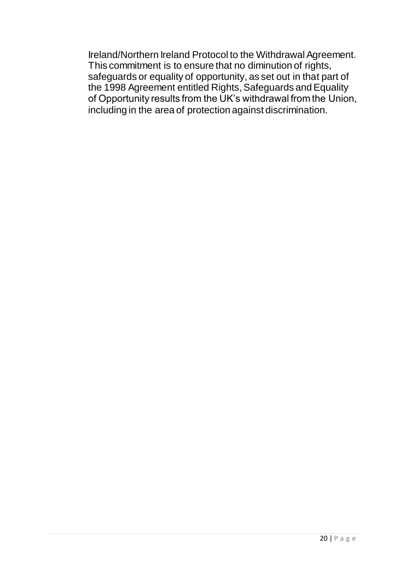Ireland/Northern Ireland Protocol to the Withdrawal Agreement. This commitment is to ensure that no diminution of rights, safeguards or equality of opportunity, as set out in that part of the 1998 Agreement entitled Rights, Safeguards and Equality of Opportunity results from the UK's withdrawal from the Union, including in the area of protection against discrimination.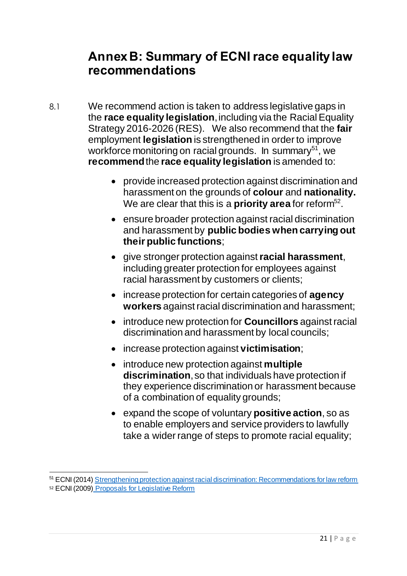### <span id="page-22-0"></span>**Annex B: Summary of ECNI race equality law recommendations**

- 8.1 We recommend action is taken to address legislative gaps in the **race equality legislation**, including via the Racial Equality Strategy 2016-2026 (RES).We also recommend that the **fair**  employment **legislation** is strengthened in order to improve workforce monitoring on racial grounds. In summary<sup>51</sup>, we **recommend**the **race equality legislation** is amended to:
	- provide increased protection against discrimination and harassment on the grounds of **colour** and **nationality.** We are clear that this is a **priority area** for reform<sup>52</sup>.
	- ensure broader protection against racial discrimination and harassment by **public bodies when carrying out their public functions**;
	- give stronger protection against**racial harassment**, including greater protection for employees against racial harassment by customers or clients;
	- increase protection for certain categories of **agency workers** against racial discrimination and harassment;
	- introduce new protection for **Councillors** against racial discrimination and harassment by local councils;
	- increase protection against **victimisation**;
	- introduce new protection against **multiple discrimination**,so that individuals have protection if they experience discrimination or harassment because of a combination of equality grounds;
	- expand the scope of voluntary **positive action**, so as to enable employers and service providers to lawfully take a wider range of steps to promote racial equality;

<sup>52</sup> ECNI (2009) [Proposals for Legislative Reform](http://www.equalityni.org/ECNI/media/ECNI/Publications/Delivering%20Equality/Proposals_for_legislative_reform060209.pdf?ext=.pdf)

 $\overline{a}$ <sup>51</sup> ECNI (2014) [Strengthening protection against racial discrimination: Recommendations for law reform](https://www.equalityni.org/ECNI/media/ECNI/Publications/Delivering%20Equality/RaceLawReform-FullReport.pdf)